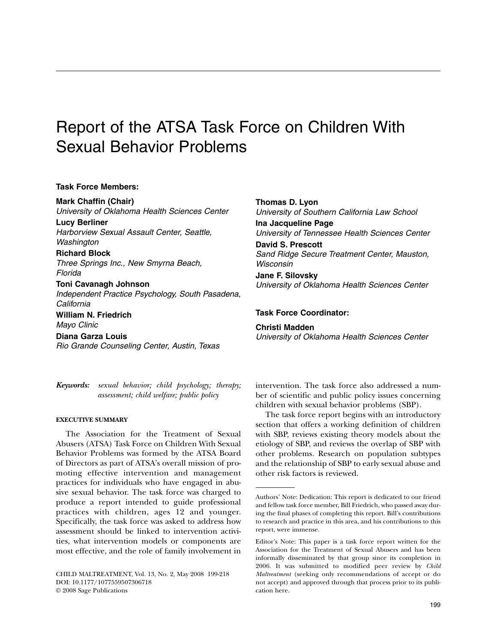# Report of the ATSA Task Force on Children With Sexual Behavior Problems

## **Task Force Members:**

## **Mark Chaffin (Chair)**

University of Oklahoma Health Sciences Center **Lucy Berliner**

Harborview Sexual Assault Center, Seattle, **Washington** 

## **Richard Block**

Three Springs Inc., New Smyrna Beach, Florida

**Toni Cavanagh Johnson** Independent Practice Psychology, South Pasadena, **California** 

**William N. Friedrich** Mayo Clinic

**Diana Garza Louis** Rio Grande Counseling Center, Austin, Texas

*Keywords: sexual behavior; child psychology; therapy; assessment; child welfare; public policy*

#### **EXECUTIVE SUMMARY**

The Association for the Treatment of Sexual Abusers (ATSA) Task Force on Children With Sexual Behavior Problems was formed by the ATSA Board of Directors as part of ATSA's overall mission of promoting effective intervention and management practices for individuals who have engaged in abusive sexual behavior. The task force was charged to produce a report intended to guide professional practices with children, ages 12 and younger. Specifically, the task force was asked to address how assessment should be linked to intervention activities, what intervention models or components are most effective, and the role of family involvement in

CHILD MALTREATMENT, Vol. 13, No. 2, May 2008 199-218 DOI: 10.1177/1077559507306718 © 2008 Sage Publications

**Thomas D. Lyon** University of Southern California Law School **Ina Jacqueline Page** University of Tennessee Health Sciences Center **David S. Prescott** Sand Ridge Secure Treatment Center, Mauston, Wisconsin **Jane F. Silovsky** University of Oklahoma Health Sciences Center

# **Task Force Coordinator:**

**Christi Madden** University of Oklahoma Health Sciences Center

intervention. The task force also addressed a number of scientific and public policy issues concerning children with sexual behavior problems (SBP).

The task force report begins with an introductory section that offers a working definition of children with SBP, reviews existing theory models about the etiology of SBP, and reviews the overlap of SBP with other problems. Research on population subtypes and the relationship of SBP to early sexual abuse and other risk factors is reviewed.

Authors' Note: Dedication: This report is dedicated to our friend and fellow task force member, Bill Friedrich, who passed away during the final phases of completing this report. Bill's contributions to research and practice in this area, and his contributions to this report, were immense.

Editor's Note: This paper is a task force report written for the Association for the Treatment of Sexual Abusers and has been informally disseminated by that group since its completion in 2006. It was submitted to modified peer review by *Child Maltreatment* (seeking only recommendations of accept or do not accept) and approved through that process prior to its publication here.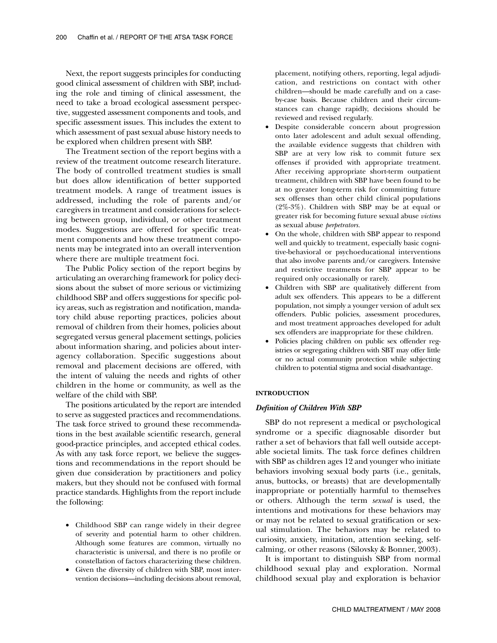Next, the report suggests principles for conducting good clinical assessment of children with SBP, including the role and timing of clinical assessment, the need to take a broad ecological assessment perspective, suggested assessment components and tools, and specific assessment issues. This includes the extent to which assessment of past sexual abuse history needs to be explored when children present with SBP.

The Treatment section of the report begins with a review of the treatment outcome research literature. The body of controlled treatment studies is small but does allow identification of better supported treatment models. A range of treatment issues is addressed, including the role of parents and/or caregivers in treatment and considerations for selecting between group, individual, or other treatment modes. Suggestions are offered for specific treatment components and how these treatment components may be integrated into an overall intervention where there are multiple treatment foci.

The Public Policy section of the report begins by articulating an overarching framework for policy decisions about the subset of more serious or victimizing childhood SBP and offers suggestions for specific policy areas, such as registration and notification, mandatory child abuse reporting practices, policies about removal of children from their homes, policies about segregated versus general placement settings, policies about information sharing, and policies about interagency collaboration. Specific suggestions about removal and placement decisions are offered, with the intent of valuing the needs and rights of other children in the home or community, as well as the welfare of the child with SBP.

The positions articulated by the report are intended to serve as suggested practices and recommendations. The task force strived to ground these recommendations in the best available scientific research, general good-practice principles, and accepted ethical codes. As with any task force report, we believe the suggestions and recommendations in the report should be given due consideration by practitioners and policy makers, but they should not be confused with formal practice standards. Highlights from the report include the following:

- Childhood SBP can range widely in their degree of severity and potential harm to other children. Although some features are common, virtually no characteristic is universal, and there is no profile or constellation of factors characterizing these children.
- Given the diversity of children with SBP, most intervention decisions—including decisions about removal,

placement, notifying others, reporting, legal adjudication, and restrictions on contact with other children—should be made carefully and on a caseby-case basis. Because children and their circumstances can change rapidly, decisions should be reviewed and revised regularly.

- Despite considerable concern about progression onto later adolescent and adult sexual offending, the available evidence suggests that children with SBP are at very low risk to commit future sex offenses if provided with appropriate treatment. After receiving appropriate short-term outpatient treatment, children with SBP have been found to be at no greater long-term risk for committing future sex offenses than other child clinical populations (2%-3%). Children with SBP may be at equal or greater risk for becoming future sexual abuse *victims* as sexual abuse *perpetrators.*
- On the whole, children with SBP appear to respond well and quickly to treatment, especially basic cognitive-behavioral or psychoeducational interventions that also involve parents and/or caregivers. Intensive and restrictive treatments for SBP appear to be required only occasionally or rarely.
- Children with SBP are qualitatively different from adult sex offenders. This appears to be a different population, not simply a younger version of adult sex offenders. Public policies, assessment procedures, and most treatment approaches developed for adult sex offenders are inappropriate for these children.
- Policies placing children on public sex offender registries or segregating children with SBT may offer little or no actual community protection while subjecting children to potential stigma and social disadvantage.

#### **INTRODUCTION**

#### *Definition of Children With SBP*

SBP do not represent a medical or psychological syndrome or a specific diagnosable disorder but rather a set of behaviors that fall well outside acceptable societal limits. The task force defines children with SBP as children ages 12 and younger who initiate behaviors involving sexual body parts (i.e., genitals, anus, buttocks, or breasts) that are developmentally inappropriate or potentially harmful to themselves or others. Although the term *sexual* is used, the intentions and motivations for these behaviors may or may not be related to sexual gratification or sexual stimulation. The behaviors may be related to curiosity, anxiety, imitation, attention seeking, selfcalming, or other reasons (Silovsky & Bonner, 2003).

It is important to distinguish SBP from normal childhood sexual play and exploration. Normal childhood sexual play and exploration is behavior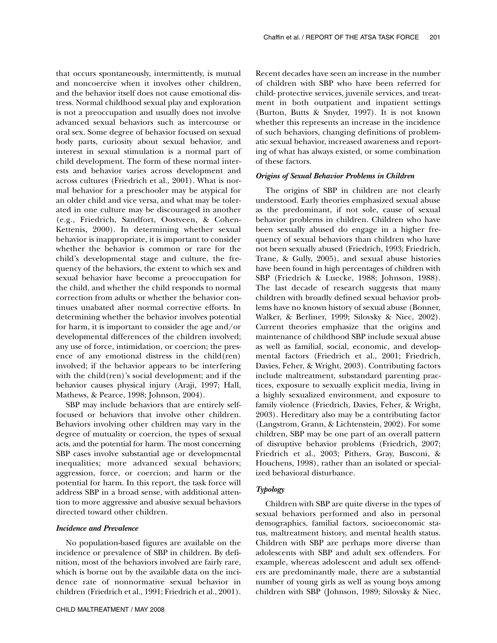that occurs spontaneously, intermittently, is mutual and noncoercive when it involves other children, and the behavior itself does not cause emotional distress. Normal childhood sexual play and exploration is not a preoccupation and usually does not involve advanced sexual behaviors such as intercourse or oral sex. Some degree of behavior focused on sexual body parts, curiosity about sexual behavior, and interest in sexual stimulation is a normal part of child development. The form of these normal interests and behavior varies across development and across cultures (Friedrich et al., 2001). What is normal behavior for a preschooler may be atypical for an older child and vice versa, and what may be tolerated in one culture may be discouraged in another (e.g., Friedrich, Sandfort, Oostveen, & Cohen-Kettenis, 2000). In determining whether sexual behavior is inappropriate, it is important to consider whether the behavior is common or rare for the child's developmental stage and culture, the frequency of the behaviors, the extent to which sex and sexual behavior have become a preoccupation for the child, and whether the child responds to normal correction from adults or whether the behavior continues unabated after normal corrective efforts. In determining whether the behavior involves potential for harm, it is important to consider the age and/or developmental differences of the children involved; any use of force, intimidation, or coercion; the presence of any emotional distress in the child(ren) involved; if the behavior appears to be interfering with the child(ren)'s social development; and if the behavior causes physical injury (Araji, 1997; Hall, Mathews, & Pearce, 1998; Johnson, 2004).

SBP may include behaviors that are entirely selffocused or behaviors that involve other children. Behaviors involving other children may vary in the degree of mutuality or coercion, the types of sexual acts, and the potential for harm. The most concerning SBP cases involve substantial age or developmental inequalities; more advanced sexual behaviors; aggression, force, or coercion; and harm or the potential for harm. In this report, the task force will address SBP in a broad sense, with additional attention to more aggressive and abusive sexual behaviors directed toward other children.

#### *Incidence and Prevalence*

No population-based figures are available on the incidence or prevalence of SBP in children. By definition, most of the behaviors involved are fairly rare, which is borne out by the available data on the incidence rate of nonnormative sexual behavior in children (Friedrich et al., 1991; Friedrich et al., 2001). Recent decades have seen an increase in the number of children with SBP who have been referred for child- protective services, juvenile services, and treatment in both outpatient and inpatient settings (Burton, Butts & Snyder, 1997). It is not known whether this represents an increase in the incidence of such behaviors, changing definitions of problematic sexual behavior, increased awareness and reporting of what has always existed, or some combination of these factors.

#### *Origins of Sexual Behavior Problems in Children*

The origins of SBP in children are not clearly understood. Early theories emphasized sexual abuse as the predominant, if not sole, cause of sexual behavior problems in children. Children who have been sexually abused do engage in a higher frequency of sexual behaviors than children who have not been sexually abused (Friedrich, 1993; Friedrich, Trane, & Gully, 2005), and sexual abuse histories have been found in high percentages of children with SBP (Friedrich & Luecke, 1988; Johnson, 1988). The last decade of research suggests that many children with broadly defined sexual behavior problems have no known history of sexual abuse (Bonner, Walker, & Berliner, 1999; Silovsky & Niec, 2002). Current theories emphasize that the origins and maintenance of childhood SBP include sexual abuse as well as familial, social, economic, and developmental factors (Friedrich et al., 2001; Friedrich, Davies, Feher, & Wright, 2003). Contributing factors include maltreatment, substandard parenting practices, exposure to sexually explicit media, living in a highly sexualized environment, and exposure to family violence (Friedrich, Davies, Feher, & Wright, 2003). Hereditary also may be a contributing factor (Langstrom, Grann, & Lichtenstein, 2002). For some children, SBP may be one part of an overall pattern of disruptive behavior problems (Friedrich, 2007; Friedrich et al., 2003; Pithers, Gray, Busconi, & Houchens, 1998), rather than an isolated or specialized behavioral disturbance.

## *Typology*

Children with SBP are quite diverse in the types of sexual behaviors performed and also in personal demographics, familial factors, socioeconomic status, maltreatment history, and mental health status. Children with SBP are perhaps more diverse than adolescents with SBP and adult sex offenders. For example, whereas adolescent and adult sex offenders are predominantly male, there are a substantial number of young girls as well as young boys among children with SBP (Johnson, 1989; Silovsky & Niec,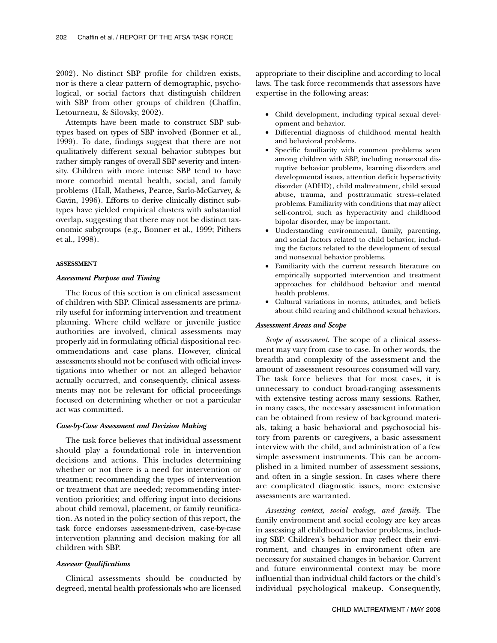2002). No distinct SBP profile for children exists, nor is there a clear pattern of demographic, psychological, or social factors that distinguish children with SBP from other groups of children (Chaffin, Letourneau, & Silovsky, 2002).

Attempts have been made to construct SBP subtypes based on types of SBP involved (Bonner et al., 1999). To date, findings suggest that there are not qualitatively different sexual behavior subtypes but rather simply ranges of overall SBP severity and intensity. Children with more intense SBP tend to have more comorbid mental health, social, and family problems (Hall, Mathews, Pearce, Sarlo-McGarvey, & Gavin, 1996). Efforts to derive clinically distinct subtypes have yielded empirical clusters with substantial overlap, suggesting that there may not be distinct taxonomic subgroups (e.g., Bonner et al., 1999; Pithers et al., 1998).

#### **ASSESSMENT**

#### *Assessment Purpose and Timing*

The focus of this section is on clinical assessment of children with SBP. Clinical assessments are primarily useful for informing intervention and treatment planning. Where child welfare or juvenile justice authorities are involved, clinical assessments may properly aid in formulating official dispositional recommendations and case plans. However, clinical assessments should not be confused with official investigations into whether or not an alleged behavior actually occurred, and consequently, clinical assessments may not be relevant for official proceedings focused on determining whether or not a particular act was committed.

#### *Case-by-Case Assessment and Decision Making*

The task force believes that individual assessment should play a foundational role in intervention decisions and actions. This includes determining whether or not there is a need for intervention or treatment; recommending the types of intervention or treatment that are needed; recommending intervention priorities; and offering input into decisions about child removal, placement, or family reunification. As noted in the policy section of this report, the task force endorses assessment-driven, case-by-case intervention planning and decision making for all children with SBP.

## *Assessor Qualifications*

Clinical assessments should be conducted by degreed, mental health professionals who are licensed appropriate to their discipline and according to local laws. The task force recommends that assessors have expertise in the following areas:

- Child development, including typical sexual development and behavior.
- Differential diagnosis of childhood mental health and behavioral problems.
- Specific familiarity with common problems seen among children with SBP, including nonsexual disruptive behavior problems, learning disorders and developmental issues, attention deficit hyperactivity disorder (ADHD), child maltreatment, child sexual abuse, trauma, and posttraumatic stress–related problems. Familiarity with conditions that may affect self-control, such as hyperactivity and childhood bipolar disorder, may be important.
- Understanding environmental, family, parenting, and social factors related to child behavior, including the factors related to the development of sexual and nonsexual behavior problems.
- Familiarity with the current research literature on empirically supported intervention and treatment approaches for childhood behavior and mental health problems.
- Cultural variations in norms, attitudes, and beliefs about child rearing and childhood sexual behaviors.

#### *Assessment Areas and Scope*

*Scope of assessment*. The scope of a clinical assessment may vary from case to case. In other words, the breadth and complexity of the assessment and the amount of assessment resources consumed will vary. The task force believes that for most cases, it is unnecessary to conduct broad-ranging assessments with extensive testing across many sessions. Rather, in many cases, the necessary assessment information can be obtained from review of background materials, taking a basic behavioral and psychosocial history from parents or caregivers, a basic assessment interview with the child, and administration of a few simple assessment instruments. This can be accomplished in a limited number of assessment sessions, and often in a single session. In cases where there are complicated diagnostic issues, more extensive assessments are warranted.

*Assessing context, social ecology, and family.* The family environment and social ecology are key areas in assessing all childhood behavior problems, including SBP. Children's behavior may reflect their environment, and changes in environment often are necessary for sustained changes in behavior. Current and future environmental context may be more influential than individual child factors or the child's individual psychological makeup. Consequently,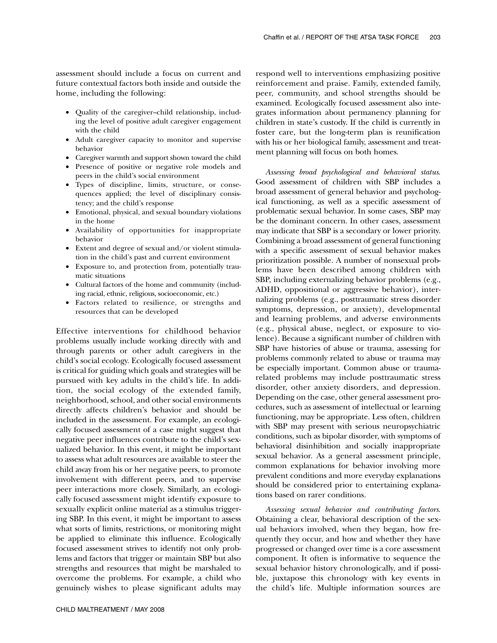assessment should include a focus on current and future contextual factors both inside and outside the home, including the following:

- Quality of the caregiver–child relationship, including the level of positive adult caregiver engagement with the child
- Adult caregiver capacity to monitor and supervise behavior
- Caregiver warmth and support shown toward the child
- Presence of positive or negative role models and peers in the child's social environment
- Types of discipline, limits, structure, or consequences applied; the level of disciplinary consistency; and the child's response
- Emotional, physical, and sexual boundary violations in the home
- Availability of opportunities for inappropriate behavior
- Extent and degree of sexual and/or violent stimulation in the child's past and current environment
- Exposure to, and protection from, potentially traumatic situations
- Cultural factors of the home and community (including racial, ethnic, religious, socioeconomic, etc.)
- Factors related to resilience, or strengths and resources that can be developed

Effective interventions for childhood behavior problems usually include working directly with and through parents or other adult caregivers in the child's social ecology. Ecologically focused assessment is critical for guiding which goals and strategies will be pursued with key adults in the child's life. In addition, the social ecology of the extended family, neighborhood, school, and other social environments directly affects children's behavior and should be included in the assessment. For example, an ecologically focused assessment of a case might suggest that negative peer influences contribute to the child's sexualized behavior. In this event, it might be important to assess what adult resources are available to steer the child away from his or her negative peers, to promote involvement with different peers, and to supervise peer interactions more closely. Similarly, an ecologically focused assessment might identify exposure to sexually explicit online material as a stimulus triggering SBP. In this event, it might be important to assess what sorts of limits, restrictions, or monitoring might be applied to eliminate this influence. Ecologically focused assessment strives to identify not only problems and factors that trigger or maintain SBP but also strengths and resources that might be marshaled to overcome the problems. For example, a child who genuinely wishes to please significant adults may

respond well to interventions emphasizing positive reinforcement and praise. Family, extended family, peer, community, and school strengths should be examined. Ecologically focused assessment also integrates information about permanency planning for children in state's custody. If the child is currently in foster care, but the long-term plan is reunification with his or her biological family, assessment and treatment planning will focus on both homes.

*Assessing broad psychological and behavioral status*. Good assessment of children with SBP includes a broad assessment of general behavior and psychological functioning, as well as a specific assessment of problematic sexual behavior. In some cases, SBP may be the dominant concern. In other cases, assessment may indicate that SBP is a secondary or lower priority. Combining a broad assessment of general functioning with a specific assessment of sexual behavior makes prioritization possible. A number of nonsexual problems have been described among children with SBP, including externalizing behavior problems (e.g., ADHD, oppositional or aggressive behavior), internalizing problems (e.g., posttraumatic stress disorder symptoms, depression, or anxiety), developmental and learning problems, and adverse environments (e.g., physical abuse, neglect, or exposure to violence). Because a significant number of children with SBP have histories of abuse or trauma, assessing for problems commonly related to abuse or trauma may be especially important. Common abuse or traumarelated problems may include posttraumatic stress disorder, other anxiety disorders, and depression. Depending on the case, other general assessment procedures, such as assessment of intellectual or learning functioning, may be appropriate. Less often, children with SBP may present with serious neuropsychiatric conditions, such as bipolar disorder, with symptoms of behavioral disinhibition and socially inappropriate sexual behavior. As a general assessment principle, common explanations for behavior involving more prevalent conditions and more everyday explanations should be considered prior to entertaining explanations based on rarer conditions.

*Assessing sexual behavior and contributing factors*. Obtaining a clear, behavioral description of the sexual behaviors involved, when they began, how frequently they occur, and how and whether they have progressed or changed over time is a core assessment component. It often is informative to sequence the sexual behavior history chronologically, and if possible, juxtapose this chronology with key events in the child's life. Multiple information sources are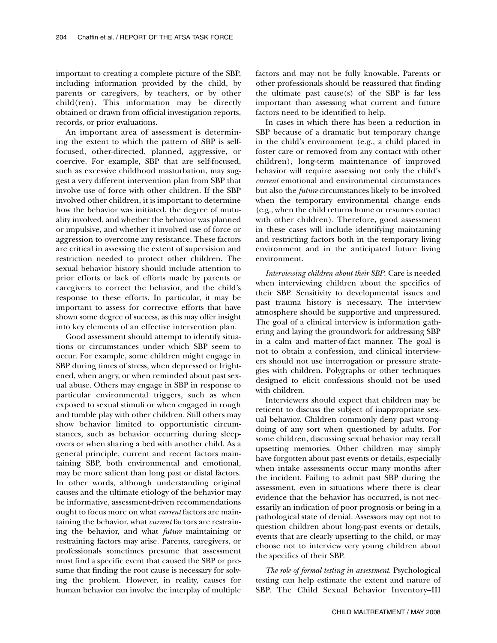important to creating a complete picture of the SBP, including information provided by the child, by parents or caregivers, by teachers, or by other child(ren). This information may be directly obtained or drawn from official investigation reports, records, or prior evaluations.

An important area of assessment is determining the extent to which the pattern of SBP is selffocused, other-directed, planned, aggressive, or coercive. For example, SBP that are self-focused, such as excessive childhood masturbation, may suggest a very different intervention plan from SBP that involve use of force with other children. If the SBP involved other children, it is important to determine how the behavior was initiated, the degree of mutuality involved, and whether the behavior was planned or impulsive, and whether it involved use of force or aggression to overcome any resistance. These factors are critical in assessing the extent of supervision and restriction needed to protect other children. The sexual behavior history should include attention to prior efforts or lack of efforts made by parents or caregivers to correct the behavior, and the child's response to these efforts. In particular, it may be important to assess for corrective efforts that have shown some degree of success, as this may offer insight into key elements of an effective intervention plan.

Good assessment should attempt to identify situations or circumstances under which SBP seem to occur. For example, some children might engage in SBP during times of stress, when depressed or frightened, when angry, or when reminded about past sexual abuse. Others may engage in SBP in response to particular environmental triggers, such as when exposed to sexual stimuli or when engaged in rough and tumble play with other children. Still others may show behavior limited to opportunistic circumstances, such as behavior occurring during sleepovers or when sharing a bed with another child. As a general principle, current and recent factors maintaining SBP, both environmental and emotional, may be more salient than long past or distal factors. In other words, although understanding original causes and the ultimate etiology of the behavior may be informative, assessment-driven recommendations ought to focus more on what *current* factors are maintaining the behavior, what *current* factors are restraining the behavior, and what *future* maintaining or restraining factors may arise. Parents, caregivers, or professionals sometimes presume that assessment must find a specific event that caused the SBP or presume that finding the root cause is necessary for solving the problem. However, in reality, causes for human behavior can involve the interplay of multiple factors and may not be fully knowable. Parents or other professionals should be reassured that finding the ultimate past cause(s) of the SBP is far less important than assessing what current and future factors need to be identified to help.

In cases in which there has been a reduction in SBP because of a dramatic but temporary change in the child's environment (e.g., a child placed in foster care or removed from any contact with other children), long-term maintenance of improved behavior will require assessing not only the child's *current* emotional and environmental circumstances but also the *future* circumstances likely to be involved when the temporary environmental change ends (e.g., when the child returns home or resumes contact with other children). Therefore, good assessment in these cases will include identifying maintaining and restricting factors both in the temporary living environment and in the anticipated future living environment.

*Interviewing children about their SBP*. Care is needed when interviewing children about the specifics of their SBP. Sensitivity to developmental issues and past trauma history is necessary. The interview atmosphere should be supportive and unpressured. The goal of a clinical interview is information gathering and laying the groundwork for addressing SBP in a calm and matter-of-fact manner. The goal is not to obtain a confession, and clinical interviewers should not use interrogation or pressure strategies with children. Polygraphs or other techniques designed to elicit confessions should not be used with children.

Interviewers should expect that children may be reticent to discuss the subject of inappropriate sexual behavior. Children commonly deny past wrongdoing of any sort when questioned by adults. For some children, discussing sexual behavior may recall upsetting memories. Other children may simply have forgotten about past events or details, especially when intake assessments occur many months after the incident. Failing to admit past SBP during the assessment, even in situations where there is clear evidence that the behavior has occurred, is not necessarily an indication of poor prognosis or being in a pathological state of denial. Assessors may opt not to question children about long-past events or details, events that are clearly upsetting to the child, or may choose not to interview very young children about the specifics of their SBP.

*The role of formal testing in assessment*. Psychological testing can help estimate the extent and nature of SBP. The Child Sexual Behavior Inventory–III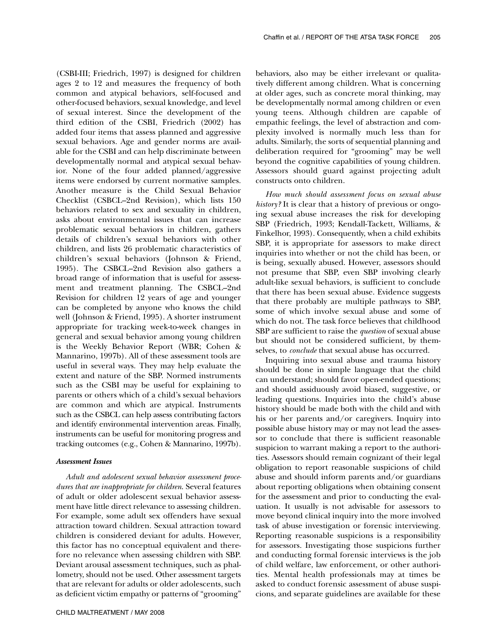(CSBI-III; Friedrich, 1997) is designed for children ages 2 to 12 and measures the frequency of both common and atypical behaviors, self-focused and other-focused behaviors, sexual knowledge, and level of sexual interest. Since the development of the third edition of the CSBI, Friedrich (2002) has added four items that assess planned and aggressive sexual behaviors. Age and gender norms are available for the CSBI and can help discriminate between developmentally normal and atypical sexual behavior. None of the four added planned/aggressive items were endorsed by current normative samples. Another measure is the Child Sexual Behavior Checklist (CSBCL–2nd Revision), which lists 150 behaviors related to sex and sexuality in children, asks about environmental issues that can increase problematic sexual behaviors in children, gathers details of children's sexual behaviors with other children, and lists 26 problematic characteristics of children's sexual behaviors (Johnson & Friend, 1995). The CSBCL–2nd Revision also gathers a broad range of information that is useful for assessment and treatment planning. The CSBCL–2nd Revision for children 12 years of age and younger can be completed by anyone who knows the child well (Johnson & Friend, 1995). A shorter instrument appropriate for tracking week-to-week changes in general and sexual behavior among young children is the Weekly Behavior Report (WBR; Cohen & Mannarino, 1997b). All of these assessment tools are useful in several ways. They may help evaluate the extent and nature of the SBP. Normed instruments such as the CSBI may be useful for explaining to parents or others which of a child's sexual behaviors are common and which are atypical. Instruments such as the CSBCL can help assess contributing factors and identify environmental intervention areas. Finally, instruments can be useful for monitoring progress and tracking outcomes (e.g., Cohen & Mannarino, 1997b).

#### *Assessment Issues*

*Adult and adolescent sexual behavior assessment procedures that are inappropriate for children*. Several features of adult or older adolescent sexual behavior assessment have little direct relevance to assessing children. For example, some adult sex offenders have sexual attraction toward children. Sexual attraction toward children is considered deviant for adults. However, this factor has no conceptual equivalent and therefore no relevance when assessing children with SBP. Deviant arousal assessment techniques, such as phallometry, should not be used. Other assessment targets that are relevant for adults or older adolescents, such as deficient victim empathy or patterns of "grooming" behaviors, also may be either irrelevant or qualitatively different among children. What is concerning at older ages, such as concrete moral thinking, may be developmentally normal among children or even young teens. Although children are capable of empathic feelings, the level of abstraction and complexity involved is normally much less than for adults. Similarly, the sorts of sequential planning and deliberation required for "grooming" may be well beyond the cognitive capabilities of young children. Assessors should guard against projecting adult constructs onto children.

*How much should assessment focus on sexual abuse history?* It is clear that a history of previous or ongoing sexual abuse increases the risk for developing SBP (Friedrich, 1993; Kendall-Tackett, Williams, & Finkelhor, 1993). Consequently, when a child exhibits SBP, it is appropriate for assessors to make direct inquiries into whether or not the child has been, or is being, sexually abused. However, assessors should not presume that SBP, even SBP involving clearly adult-like sexual behaviors, is sufficient to conclude that there has been sexual abuse. Evidence suggests that there probably are multiple pathways to SBP, some of which involve sexual abuse and some of which do not. The task force believes that childhood SBP are sufficient to raise the *question* of sexual abuse but should not be considered sufficient, by themselves, to *conclude* that sexual abuse has occurred.

Inquiring into sexual abuse and trauma history should be done in simple language that the child can understand; should favor open-ended questions; and should assiduously avoid biased, suggestive, or leading questions. Inquiries into the child's abuse history should be made both with the child and with his or her parents and/or caregivers. Inquiry into possible abuse history may or may not lead the assessor to conclude that there is sufficient reasonable suspicion to warrant making a report to the authorities. Assessors should remain cognizant of their legal obligation to report reasonable suspicions of child abuse and should inform parents and/or guardians about reporting obligations when obtaining consent for the assessment and prior to conducting the evaluation. It usually is not advisable for assessors to move beyond clinical inquiry into the more involved task of abuse investigation or forensic interviewing. Reporting reasonable suspicions is a responsibility for assessors. Investigating those suspicions further and conducting formal forensic interviews is the job of child welfare, law enforcement, or other authorities. Mental health professionals may at times be asked to conduct forensic assessment of abuse suspicions, and separate guidelines are available for these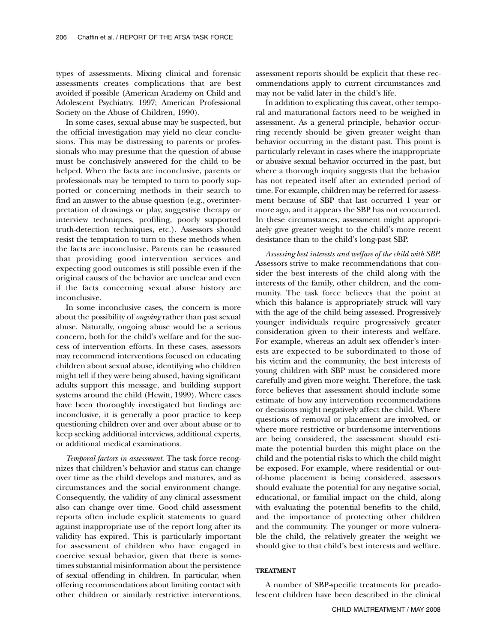types of assessments. Mixing clinical and forensic assessments creates complications that are best avoided if possible (American Academy on Child and Adolescent Psychiatry, 1997; American Professional Society on the Abuse of Children, 1990).

In some cases, sexual abuse may be suspected, but the official investigation may yield no clear conclusions. This may be distressing to parents or professionals who may presume that the question of abuse must be conclusively answered for the child to be helped. When the facts are inconclusive, parents or professionals may be tempted to turn to poorly supported or concerning methods in their search to find an answer to the abuse question (e.g., overinterpretation of drawings or play, suggestive therapy or interview techniques, profiling, poorly supported truth-detection techniques, etc.). Assessors should resist the temptation to turn to these methods when the facts are inconclusive. Parents can be reassured that providing good intervention services and expecting good outcomes is still possible even if the original causes of the behavior are unclear and even if the facts concerning sexual abuse history are inconclusive.

In some inconclusive cases, the concern is more about the possibility of *ongoing* rather than past sexual abuse. Naturally, ongoing abuse would be a serious concern, both for the child's welfare and for the success of intervention efforts. In these cases, assessors may recommend interventions focused on educating children about sexual abuse, identifying who children might tell if they were being abused, having significant adults support this message, and building support systems around the child (Hewitt, 1999). Where cases have been thoroughly investigated but findings are inconclusive, it is generally a poor practice to keep questioning children over and over about abuse or to keep seeking additional interviews, additional experts, or additional medical examinations.

*Temporal factors in assessment*. The task force recognizes that children's behavior and status can change over time as the child develops and matures, and as circumstances and the social environment change. Consequently, the validity of any clinical assessment also can change over time. Good child assessment reports often include explicit statements to guard against inappropriate use of the report long after its validity has expired. This is particularly important for assessment of children who have engaged in coercive sexual behavior, given that there is sometimes substantial misinformation about the persistence of sexual offending in children. In particular, when offering recommendations about limiting contact with other children or similarly restrictive interventions, assessment reports should be explicit that these recommendations apply to current circumstances and may not be valid later in the child's life.

In addition to explicating this caveat, other temporal and maturational factors need to be weighed in assessment. As a general principle, behavior occurring recently should be given greater weight than behavior occurring in the distant past. This point is particularly relevant in cases where the inappropriate or abusive sexual behavior occurred in the past, but where a thorough inquiry suggests that the behavior has not repeated itself after an extended period of time. For example, children may be referred for assessment because of SBP that last occurred 1 year or more ago, and it appears the SBP has not reoccurred. In these circumstances, assessment might appropriately give greater weight to the child's more recent desistance than to the child's long-past SBP.

*Assessing best interests and welfare of the child with SBP.* Assessors strive to make recommendations that consider the best interests of the child along with the interests of the family, other children, and the community. The task force believes that the point at which this balance is appropriately struck will vary with the age of the child being assessed. Progressively younger individuals require progressively greater consideration given to their interests and welfare. For example, whereas an adult sex offender's interests are expected to be subordinated to those of his victim and the community, the best interests of young children with SBP must be considered more carefully and given more weight. Therefore, the task force believes that assessment should include some estimate of how any intervention recommendations or decisions might negatively affect the child. Where questions of removal or placement are involved, or where more restrictive or burdensome interventions are being considered, the assessment should estimate the potential burden this might place on the child and the potential risks to which the child might be exposed. For example, where residential or outof-home placement is being considered, assessors should evaluate the potential for any negative social, educational, or familial impact on the child, along with evaluating the potential benefits to the child, and the importance of protecting other children and the community. The younger or more vulnerable the child, the relatively greater the weight we should give to that child's best interests and welfare.

## **TREATMENT**

A number of SBP-specific treatments for preadolescent children have been described in the clinical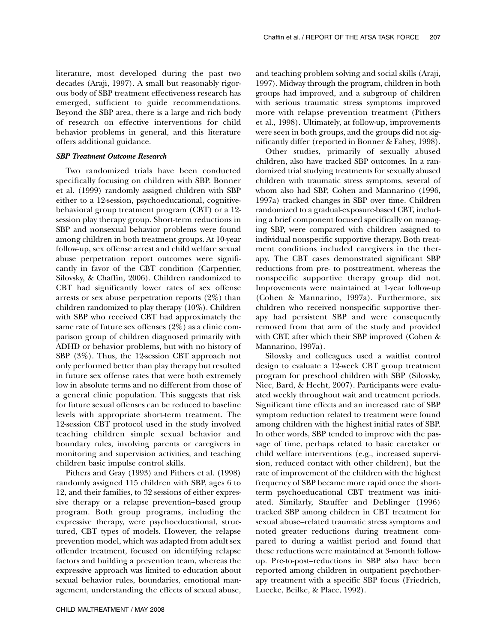literature, most developed during the past two decades (Araji, 1997). A small but reasonably rigorous body of SBP treatment effectiveness research has emerged, sufficient to guide recommendations. Beyond the SBP area, there is a large and rich body of research on effective interventions for child behavior problems in general, and this literature offers additional guidance.

## *SBP Treatment Outcome Research*

Two randomized trials have been conducted specifically focusing on children with SBP. Bonner et al. (1999) randomly assigned children with SBP either to a 12-session, psychoeducational, cognitivebehavioral group treatment program (CBT) or a 12 session play therapy group. Short-term reductions in SBP and nonsexual behavior problems were found among children in both treatment groups. At 10-year follow-up, sex offense arrest and child welfare sexual abuse perpetration report outcomes were significantly in favor of the CBT condition (Carpentier, Silovsky, & Chaffin, 2006). Children randomized to CBT had significantly lower rates of sex offense arrests or sex abuse perpetration reports (2%) than children randomized to play therapy (10%). Children with SBP who received CBT had approximately the same rate of future sex offenses (2%) as a clinic comparison group of children diagnosed primarily with ADHD or behavior problems, but with no history of SBP (3%). Thus, the 12-session CBT approach not only performed better than play therapy but resulted in future sex offense rates that were both extremely low in absolute terms and no different from those of a general clinic population. This suggests that risk for future sexual offenses can be reduced to baseline levels with appropriate short-term treatment. The 12-session CBT protocol used in the study involved teaching children simple sexual behavior and boundary rules, involving parents or caregivers in monitoring and supervision activities, and teaching children basic impulse control skills.

Pithers and Gray (1993) and Pithers et al. (1998) randomly assigned 115 children with SBP, ages 6 to 12, and their families, to 32 sessions of either expressive therapy or a relapse prevention–based group program. Both group programs, including the expressive therapy, were psychoeducational, structured, CBT types of models. However, the relapse prevention model, which was adapted from adult sex offender treatment, focused on identifying relapse factors and building a prevention team, whereas the expressive approach was limited to education about sexual behavior rules, boundaries, emotional management, understanding the effects of sexual abuse,

CHILD MALTREATMENT / MAY 2008

and teaching problem solving and social skills (Araji, 1997). Midway through the program, children in both groups had improved, and a subgroup of children with serious traumatic stress symptoms improved more with relapse prevention treatment (Pithers et al., 1998). Ultimately, at follow-up, improvements were seen in both groups, and the groups did not significantly differ (reported in Bonner & Fahey, 1998).

Other studies, primarily of sexually abused children, also have tracked SBP outcomes. In a randomized trial studying treatments for sexually abused children with traumatic stress symptoms, several of whom also had SBP, Cohen and Mannarino (1996, 1997a) tracked changes in SBP over time. Children randomized to a gradual-exposure-based CBT, including a brief component focused specifically on managing SBP, were compared with children assigned to individual nonspecific supportive therapy. Both treatment conditions included caregivers in the therapy. The CBT cases demonstrated significant SBP reductions from pre- to posttreatment, whereas the nonspecific supportive therapy group did not. Improvements were maintained at 1-year follow-up (Cohen & Mannarino, 1997a). Furthermore, six children who received nonspecific supportive therapy had persistent SBP and were consequently removed from that arm of the study and provided with CBT, after which their SBP improved (Cohen & Mannarino, 1997a).

Silovsky and colleagues used a waitlist control design to evaluate a 12-week CBT group treatment program for preschool children with SBP (Silovsky, Niec, Bard, & Hecht, 2007). Participants were evaluated weekly throughout wait and treatment periods. Significant time effects and an increased rate of SBP symptom reduction related to treatment were found among children with the highest initial rates of SBP. In other words, SBP tended to improve with the passage of time, perhaps related to basic caretaker or child welfare interventions (e.g., increased supervision, reduced contact with other children), but the rate of improvement of the children with the highest frequency of SBP became more rapid once the shortterm psychoeducational CBT treatment was initiated. Similarly, Stauffer and Deblinger (1996) tracked SBP among children in CBT treatment for sexual abuse–related traumatic stress symptoms and noted greater reductions during treatment compared to during a waitlist period and found that these reductions were maintained at 3-month followup. Pre-to-post–reductions in SBP also have been reported among children in outpatient psychotherapy treatment with a specific SBP focus (Friedrich, Luecke, Beilke, & Place, 1992).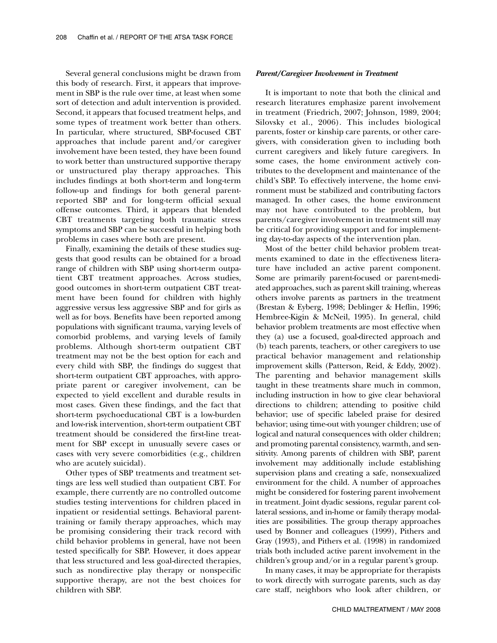Several general conclusions might be drawn from this body of research. First, it appears that improvement in SBP is the rule over time, at least when some sort of detection and adult intervention is provided. Second, it appears that focused treatment helps, and some types of treatment work better than others. In particular, where structured, SBP-focused CBT approaches that include parent and/or caregiver involvement have been tested, they have been found to work better than unstructured supportive therapy or unstructured play therapy approaches. This includes findings at both short-term and long-term follow-up and findings for both general parentreported SBP and for long-term official sexual offense outcomes. Third, it appears that blended CBT treatments targeting both traumatic stress symptoms and SBP can be successful in helping both problems in cases where both are present.

Finally, examining the details of these studies suggests that good results can be obtained for a broad range of children with SBP using short-term outpatient CBT treatment approaches. Across studies, good outcomes in short-term outpatient CBT treatment have been found for children with highly aggressive versus less aggressive SBP and for girls as well as for boys. Benefits have been reported among populations with significant trauma, varying levels of comorbid problems, and varying levels of family problems. Although short-term outpatient CBT treatment may not be the best option for each and every child with SBP, the findings do suggest that short-term outpatient CBT approaches, with appropriate parent or caregiver involvement, can be expected to yield excellent and durable results in most cases. Given these findings, and the fact that short-term psychoeducational CBT is a low-burden and low-risk intervention, short-term outpatient CBT treatment should be considered the first-line treatment for SBP except in unusually severe cases or cases with very severe comorbidities (e.g., children who are acutely suicidal).

Other types of SBP treatments and treatment settings are less well studied than outpatient CBT. For example, there currently are no controlled outcome studies testing interventions for children placed in inpatient or residential settings. Behavioral parenttraining or family therapy approaches, which may be promising considering their track record with child behavior problems in general, have not been tested specifically for SBP. However, it does appear that less structured and less goal-directed therapies, such as nondirective play therapy or nonspecific supportive therapy, are not the best choices for children with SBP.

#### *Parent/Caregiver Involvement in Treatment*

It is important to note that both the clinical and research literatures emphasize parent involvement in treatment (Friedrich, 2007; Johnson, 1989, 2004; Silovsky et al., 2006). This includes biological parents, foster or kinship care parents, or other caregivers, with consideration given to including both current caregivers and likely future caregivers. In some cases, the home environment actively contributes to the development and maintenance of the child's SBP. To effectively intervene, the home environment must be stabilized and contributing factors managed. In other cases, the home environment may not have contributed to the problem, but parents/caregiver involvement in treatment still may be critical for providing support and for implementing day-to-day aspects of the intervention plan.

Most of the better child behavior problem treatments examined to date in the effectiveness literature have included an active parent component. Some are primarily parent-focused or parent-mediated approaches, such as parent skill training, whereas others involve parents as partners in the treatment (Brestan & Eyberg, 1998; Deblinger & Heflin, 1996; Hembree-Kigin & McNeil, 1995). In general, child behavior problem treatments are most effective when they (a) use a focused, goal-directed approach and (b) teach parents, teachers, or other caregivers to use practical behavior management and relationship improvement skills (Patterson, Reid, & Eddy, 2002). The parenting and behavior management skills taught in these treatments share much in common, including instruction in how to give clear behavioral directions to children; attending to positive child behavior; use of specific labeled praise for desired behavior; using time-out with younger children; use of logical and natural consequences with older children; and promoting parental consistency, warmth, and sensitivity. Among parents of children with SBP, parent involvement may additionally include establishing supervision plans and creating a safe, nonsexualized environment for the child. A number of approaches might be considered for fostering parent involvement in treatment. Joint dyadic sessions, regular parent collateral sessions, and in-home or family therapy modalities are possibilities. The group therapy approaches used by Bonner and colleagues (1999), Pithers and Gray (1993), and Pithers et al. (1998) in randomized trials both included active parent involvement in the children's group and/or in a regular parent's group.

In many cases, it may be appropriate for therapists to work directly with surrogate parents, such as day care staff, neighbors who look after children, or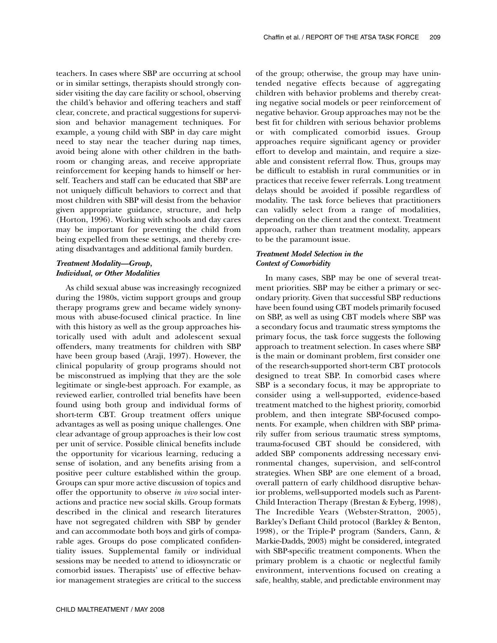teachers. In cases where SBP are occurring at school or in similar settings, therapists should strongly consider visiting the day care facility or school, observing the child's behavior and offering teachers and staff clear, concrete, and practical suggestions for supervision and behavior management techniques. For example, a young child with SBP in day care might need to stay near the teacher during nap times, avoid being alone with other children in the bathroom or changing areas, and receive appropriate reinforcement for keeping hands to himself or herself. Teachers and staff can be educated that SBP are not uniquely difficult behaviors to correct and that most children with SBP will desist from the behavior given appropriate guidance, structure, and help (Horton, 1996). Working with schools and day cares may be important for preventing the child from being expelled from these settings, and thereby creating disadvantages and additional family burden.

# *Treatment Modality—Group, Individual, or Other Modalities*

As child sexual abuse was increasingly recognized during the 1980s, victim support groups and group therapy programs grew and became widely synonymous with abuse-focused clinical practice. In line with this history as well as the group approaches historically used with adult and adolescent sexual offenders, many treatments for children with SBP have been group based (Araji, 1997). However, the clinical popularity of group programs should not be misconstrued as implying that they are the sole legitimate or single-best approach. For example, as reviewed earlier, controlled trial benefits have been found using both group and individual forms of short-term CBT. Group treatment offers unique advantages as well as posing unique challenges. One clear advantage of group approaches is their low cost per unit of service. Possible clinical benefits include the opportunity for vicarious learning, reducing a sense of isolation, and any benefits arising from a positive peer culture established within the group. Groups can spur more active discussion of topics and offer the opportunity to observe *in vivo* social interactions and practice new social skills. Group formats described in the clinical and research literatures have not segregated children with SBP by gender and can accommodate both boys and girls of comparable ages. Groups do pose complicated confidentiality issues. Supplemental family or individual sessions may be needed to attend to idiosyncratic or comorbid issues. Therapists' use of effective behavior management strategies are critical to the success of the group; otherwise, the group may have unintended negative effects because of aggregating children with behavior problems and thereby creating negative social models or peer reinforcement of negative behavior. Group approaches may not be the best fit for children with serious behavior problems or with complicated comorbid issues. Group approaches require significant agency or provider effort to develop and maintain, and require a sizeable and consistent referral flow. Thus, groups may be difficult to establish in rural communities or in practices that receive fewer referrals. Long treatment delays should be avoided if possible regardless of modality. The task force believes that practitioners can validly select from a range of modalities, depending on the client and the context. Treatment approach, rather than treatment modality, appears to be the paramount issue.

## *Treatment Model Selection in the Context of Comorbidity*

In many cases, SBP may be one of several treatment priorities. SBP may be either a primary or secondary priority. Given that successful SBP reductions have been found using CBT models primarily focused on SBP, as well as using CBT models where SBP was a secondary focus and traumatic stress symptoms the primary focus, the task force suggests the following approach to treatment selection. In cases where SBP is the main or dominant problem, first consider one of the research-supported short-term CBT protocols designed to treat SBP. In comorbid cases where SBP is a secondary focus, it may be appropriate to consider using a well-supported, evidence-based treatment matched to the highest priority, comorbid problem, and then integrate SBP-focused components. For example, when children with SBP primarily suffer from serious traumatic stress symptoms, trauma-focused CBT should be considered, with added SBP components addressing necessary environmental changes, supervision, and self-control strategies. When SBP are one element of a broad, overall pattern of early childhood disruptive behavior problems, well-supported models such as Parent-Child Interaction Therapy (Brestan & Eyberg, 1998), The Incredible Years (Webster-Stratton, 2005), Barkley's Defiant Child protocol (Barkley & Benton, 1998), or the Triple-P program (Sanders, Cann, & Markie-Dadds, 2003) might be considered, integrated with SBP-specific treatment components. When the primary problem is a chaotic or neglectful family environment, interventions focused on creating a safe, healthy, stable, and predictable environment may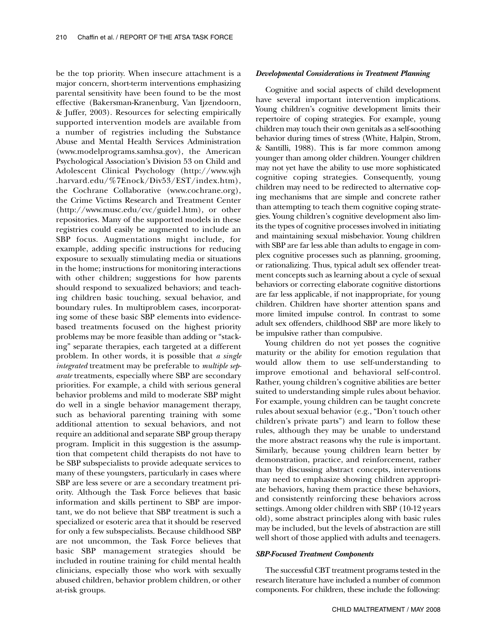be the top priority. When insecure attachment is a major concern, short-term interventions emphasizing parental sensitivity have been found to be the most effective (Bakersman-Kranenburg, Van Ijzendoorn, & Juffer, 2003). Resources for selecting empirically supported intervention models are available from a number of registries including the Substance Abuse and Mental Health Services Administration (www.modelprograms.samhsa.gov), the American Psychological Association's Division 53 on Child and Adolescent Clinical Psychology (http://www.wjh .harvard.edu/%7Enock/Div53/EST/index.htm), the Cochrane Collaborative (www.cochrane.org), the Crime Victims Research and Treatment Center (http://www.musc.edu/cvc/guide1.htm), or other repositories. Many of the supported models in these registries could easily be augmented to include an SBP focus. Augmentations might include, for example, adding specific instructions for reducing exposure to sexually stimulating media or situations in the home; instructions for monitoring interactions with other children; suggestions for how parents should respond to sexualized behaviors; and teaching children basic touching, sexual behavior, and boundary rules. In multiproblem cases, incorporating some of these basic SBP elements into evidencebased treatments focused on the highest priority problems may be more feasible than adding or "stacking" separate therapies, each targeted at a different problem. In other words, it is possible that *a single integrated* treatment may be preferable to *multiple separate* treatments, especially where SBP are secondary priorities. For example, a child with serious general behavior problems and mild to moderate SBP might do well in a single behavior management therapy, such as behavioral parenting training with some additional attention to sexual behaviors, and not require an additional and separate SBP group therapy program. Implicit in this suggestion is the assumption that competent child therapists do not have to be SBP subspecialists to provide adequate services to many of these youngsters, particularly in cases where SBP are less severe or are a secondary treatment priority. Although the Task Force believes that basic information and skills pertinent to SBP are important, we do not believe that SBP treatment is such a specialized or esoteric area that it should be reserved for only a few subspecialists. Because childhood SBP are not uncommon, the Task Force believes that basic SBP management strategies should be included in routine training for child mental health clinicians, especially those who work with sexually abused children, behavior problem children, or other at-risk groups.

#### *Developmental Considerations in Treatment Planning*

Cognitive and social aspects of child development have several important intervention implications. Young children's cognitive development limits their repertoire of coping strategies. For example, young children may touch their own genitals as a self-soothing behavior during times of stress (White, Halpin, Strom, & Santilli, 1988). This is far more common among younger than among older children. Younger children may not yet have the ability to use more sophisticated cognitive coping strategies. Consequently, young children may need to be redirected to alternative coping mechanisms that are simple and concrete rather than attempting to teach them cognitive coping strategies. Young children's cognitive development also limits the types of cognitive processes involved in initiating and maintaining sexual misbehavior. Young children with SBP are far less able than adults to engage in complex cognitive processes such as planning, grooming, or rationalizing. Thus, typical adult sex offender treatment concepts such as learning about a cycle of sexual behaviors or correcting elaborate cognitive distortions are far less applicable, if not inappropriate, for young children. Children have shorter attention spans and more limited impulse control. In contrast to some adult sex offenders, childhood SBP are more likely to be impulsive rather than compulsive.

Young children do not yet posses the cognitive maturity or the ability for emotion regulation that would allow them to use self-understanding to improve emotional and behavioral self-control. Rather, young children's cognitive abilities are better suited to understanding simple rules about behavior. For example, young children can be taught concrete rules about sexual behavior (e.g., "Don't touch other children's private parts") and learn to follow these rules, although they may be unable to understand the more abstract reasons why the rule is important. Similarly, because young children learn better by demonstration, practice, and reinforcement, rather than by discussing abstract concepts, interventions may need to emphasize showing children appropriate behaviors, having them practice these behaviors, and consistently reinforcing these behaviors across settings. Among older children with SBP (10-12 years old), some abstract principles along with basic rules may be included, but the levels of abstraction are still well short of those applied with adults and teenagers.

## *SBP-Focused Treatment Components*

The successful CBT treatment programs tested in the research literature have included a number of common components. For children, these include the following: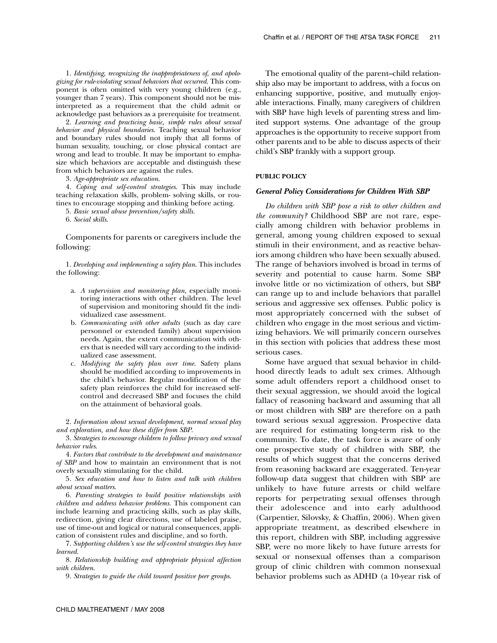1. *Identifying, recognizing the inappropriateness of, and apologizing for rule-violating sexual behaviors that occurred*. This component is often omitted with very young children (e.g., younger than 7 years). This component should not be misinterpreted as a requirement that the child admit or acknowledge past behaviors as a prerequisite for treatment.

2. *Learning and practicing basic, simple rules about sexual behavior and physical boundaries*. Teaching sexual behavior and boundary rules should not imply that all forms of human sexuality, touching, or close physical contact are wrong and lead to trouble. It may be important to emphasize which behaviors are acceptable and distinguish these from which behaviors are against the rules.

3. *Age-appropriate sex education*.

4. *Coping and self-control strategies*. This may include teaching relaxation skills, problem- solving skills, or routines to encourage stopping and thinking before acting.

5. *Basic sexual abuse prevention/safety skills*.

6. *Social skills*.

Components for parents or caregivers include the following:

1. *Developing and implementing a safety plan*. This includes the following:

- a. *A supervision and monitoring plan,* especially monitoring interactions with other children. The level of supervision and monitoring should fit the individualized case assessment.
- b. *Communicating with other adults* (such as day care personnel or extended family) about supervision needs. Again, the extent communication with others that is needed will vary according to the individualized case assessment.
- c. *Modifying the safety plan over time*. Safety plans should be modified according to improvements in the child's behavior. Regular modification of the safety plan reinforces the child for increased selfcontrol and decreased SBP and focuses the child on the attainment of behavioral goals.

2. *Information about sexual development, normal sexual play and exploration, and how these differ from SBP*.

3. *Strategies to encourage children to follow privacy and sexual behavior rules*.

4. *Factors that contribute to the development and maintenance of SBP* and how to maintain an environment that is not overly sexually stimulating for the child.

5. *Sex education and how to listen and talk with children about sexual matters*.

6. *Parenting strategies to build positive relationships with children and address behavior problems.* This component can include learning and practicing skills, such as play skills, redirection, giving clear directions, use of labeled praise, use of time-out and logical or natural consequences, application of consistent rules and discipline, and so forth.

7. *Supporting children's use the self-control strategies they have learned*.

8. *Relationship building and appropriate physical affection with children*.

9. *Strategies to guide the child toward positive peer groups*.

The emotional quality of the parent–child relationship also may be important to address, with a focus on enhancing supportive, positive, and mutually enjoyable interactions. Finally, many caregivers of children with SBP have high levels of parenting stress and limited support systems. One advantage of the group approaches is the opportunity to receive support from other parents and to be able to discuss aspects of their child's SBP frankly with a support group.

#### **PUBLIC POLICY**

#### *General Policy Considerations for Children With SBP*

*Do children with SBP pose a risk to other children and the community?* Childhood SBP are not rare, especially among children with behavior problems in general, among young children exposed to sexual stimuli in their environment, and as reactive behaviors among children who have been sexually abused. The range of behaviors involved is broad in terms of severity and potential to cause harm. Some SBP involve little or no victimization of others, but SBP can range up to and include behaviors that parallel serious and aggressive sex offenses. Public policy is most appropriately concerned with the subset of children who engage in the most serious and victimizing behaviors. We will primarily concern ourselves in this section with policies that address these most serious cases.

Some have argued that sexual behavior in childhood directly leads to adult sex crimes. Although some adult offenders report a childhood onset to their sexual aggression, we should avoid the logical fallacy of reasoning backward and assuming that all or most children with SBP are therefore on a path toward serious sexual aggression. Prospective data are required for estimating long-term risk to the community. To date, the task force is aware of only one prospective study of children with SBP, the results of which suggest that the concerns derived from reasoning backward are exaggerated. Ten-year follow-up data suggest that children with SBP are unlikely to have future arrests or child welfare reports for perpetrating sexual offenses through their adolescence and into early adulthood (Carpentier, Silovsky, & Chaffin, 2006). When given appropriate treatment, as described elsewhere in this report, children with SBP, including aggressive SBP, were no more likely to have future arrests for sexual or nonsexual offenses than a comparison group of clinic children with common nonsexual behavior problems such as ADHD (a 10-year risk of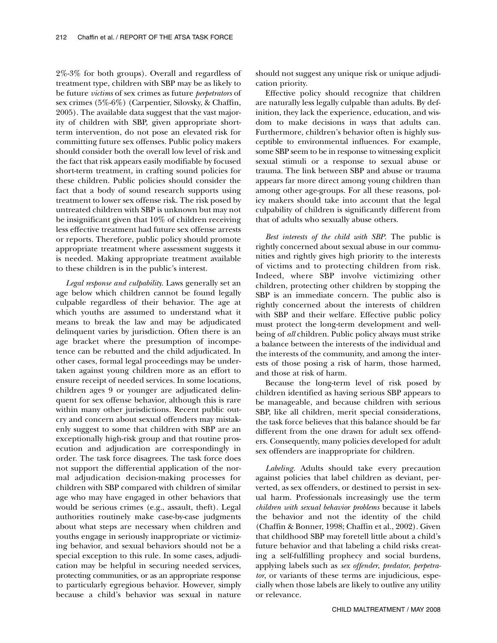2%-3% for both groups). Overall and regardless of treatment type, children with SBP may be as likely to be future *victims* of sex crimes as future *perpetrators* of sex crimes (5%-6%) (Carpentier, Silovsky, & Chaffin, 2005). The available data suggest that the vast majority of children with SBP, given appropriate shortterm intervention, do not pose an elevated risk for committing future sex offenses. Public policy makers should consider both the overall low level of risk and the fact that risk appears easily modifiable by focused short-term treatment, in crafting sound policies for these children. Public policies should consider the fact that a body of sound research supports using treatment to lower sex offense risk. The risk posed by untreated children with SBP is unknown but may not be insignificant given that 10% of children receiving less effective treatment had future sex offense arrests or reports. Therefore, public policy should promote appropriate treatment where assessment suggests it is needed. Making appropriate treatment available to these children is in the public's interest.

*Legal response and culpability*. Laws generally set an age below which children cannot be found legally culpable regardless of their behavior. The age at which youths are assumed to understand what it means to break the law and may be adjudicated delinquent varies by jurisdiction. Often there is an age bracket where the presumption of incompetence can be rebutted and the child adjudicated. In other cases, formal legal proceedings may be undertaken against young children more as an effort to ensure receipt of needed services. In some locations, children ages 9 or younger are adjudicated delinquent for sex offense behavior, although this is rare within many other jurisdictions. Recent public outcry and concern about sexual offenders may mistakenly suggest to some that children with SBP are an exceptionally high-risk group and that routine prosecution and adjudication are correspondingly in order. The task force disagrees. The task force does not support the differential application of the normal adjudication decision-making processes for children with SBP compared with children of similar age who may have engaged in other behaviors that would be serious crimes (e.g., assault, theft). Legal authorities routinely make case-by-case judgments about what steps are necessary when children and youths engage in seriously inappropriate or victimizing behavior, and sexual behaviors should not be a special exception to this rule. In some cases, adjudication may be helpful in securing needed services, protecting communities, or as an appropriate response to particularly egregious behavior. However, simply because a child's behavior was sexual in nature should not suggest any unique risk or unique adjudication priority.

Effective policy should recognize that children are naturally less legally culpable than adults. By definition, they lack the experience, education, and wisdom to make decisions in ways that adults can. Furthermore, children's behavior often is highly susceptible to environmental influences. For example, some SBP seem to be in response to witnessing explicit sexual stimuli or a response to sexual abuse or trauma. The link between SBP and abuse or trauma appears far more direct among young children than among other age-groups. For all these reasons, policy makers should take into account that the legal culpability of children is significantly different from that of adults who sexually abuse others.

*Best interests of the child with SBP*. The public is rightly concerned about sexual abuse in our communities and rightly gives high priority to the interests of victims and to protecting children from risk. Indeed, where SBP involve victimizing other children, protecting other children by stopping the SBP is an immediate concern. The public also is rightly concerned about the interests of children with SBP and their welfare. Effective public policy must protect the long-term development and wellbeing of *all* children. Public policy always must strike a balance between the interests of the individual and the interests of the community, and among the interests of those posing a risk of harm, those harmed, and those at risk of harm.

Because the long-term level of risk posed by children identified as having serious SBP appears to be manageable, and because children with serious SBP, like all children, merit special considerations, the task force believes that this balance should be far different from the one drawn for adult sex offenders. Consequently, many policies developed for adult sex offenders are inappropriate for children.

*Labeling.* Adults should take every precaution against policies that label children as deviant, perverted, as sex offenders, or destined to persist in sexual harm. Professionals increasingly use the term *children with sexual behavior problems* because it labels the behavior and not the identity of the child (Chaffin & Bonner, 1998; Chaffin et al., 2002). Given that childhood SBP may foretell little about a child's future behavior and that labeling a child risks creating a self-fulfilling prophecy and social burdens, applying labels such as *sex offender*, *predator*, *perpetrator*, or variants of these terms are injudicious, especially when those labels are likely to outlive any utility or relevance.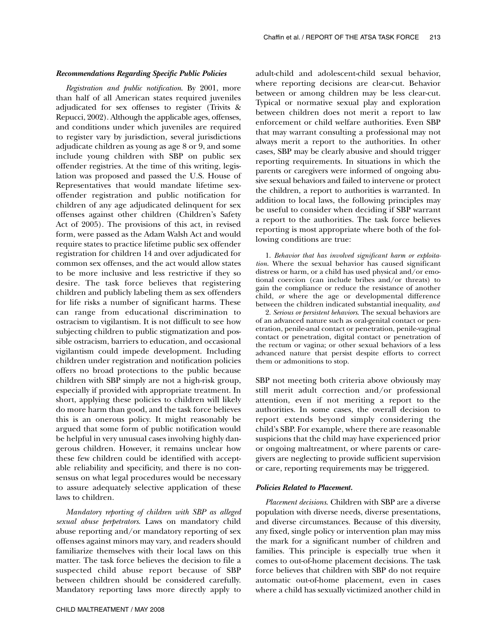#### *Recommendations Regarding Specific Public Policies*

*Registration and public notification*. By 2001, more than half of all American states required juveniles adjudicated for sex offenses to register (Trivits & Repucci, 2002). Although the applicable ages, offenses, and conditions under which juveniles are required to register vary by jurisdiction, several jurisdictions adjudicate children as young as age 8 or 9, and some include young children with SBP on public sex offender registries. At the time of this writing, legislation was proposed and passed the U.S. House of Representatives that would mandate lifetime sexoffender registration and public notification for children of any age adjudicated delinquent for sex offenses against other children (Children's Safety Act of 2005). The provisions of this act, in revised form, were passed as the Adam Walsh Act and would require states to practice lifetime public sex offender registration for children 14 and over adjudicated for common sex offenses, and the act would allow states to be more inclusive and less restrictive if they so desire. The task force believes that registering children and publicly labeling them as sex offenders for life risks a number of significant harms. These can range from educational discrimination to ostracism to vigilantism. It is not difficult to see how subjecting children to public stigmatization and possible ostracism, barriers to education, and occasional vigilantism could impede development. Including children under registration and notification policies offers no broad protections to the public because children with SBP simply are not a high-risk group, especially if provided with appropriate treatment. In short, applying these policies to children will likely do more harm than good, and the task force believes this is an onerous policy. It might reasonably be argued that some form of public notification would be helpful in very unusual cases involving highly dangerous children. However, it remains unclear how these few children could be identified with acceptable reliability and specificity, and there is no consensus on what legal procedures would be necessary to assure adequately selective application of these laws to children.

*Mandatory reporting of children with SBP as alleged sexual abuse perpetrators*. Laws on mandatory child abuse reporting and/or mandatory reporting of sex offenses against minors may vary, and readers should familiarize themselves with their local laws on this matter. The task force believes the decision to file a suspected child abuse report because of SBP between children should be considered carefully. Mandatory reporting laws more directly apply to adult-child and adolescent-child sexual behavior, where reporting decisions are clear-cut. Behavior between or among children may be less clear-cut. Typical or normative sexual play and exploration between children does not merit a report to law enforcement or child welfare authorities. Even SBP that may warrant consulting a professional may not always merit a report to the authorities. In other cases, SBP may be clearly abusive and should trigger reporting requirements. In situations in which the parents or caregivers were informed of ongoing abusive sexual behaviors and failed to intervene or protect the children, a report to authorities is warranted. In addition to local laws, the following principles may be useful to consider when deciding if SBP warrant a report to the authorities. The task force believes reporting is most appropriate where both of the following conditions are true:

1. *Behavior that has involved significant harm or exploitation*. Where the sexual behavior has caused significant distress or harm, or a child has used physical and/or emotional coercion (can include bribes and/or threats) to gain the compliance or reduce the resistance of another child, *or* where the age or developmental difference between the children indicated substantial inequality, *and*

2. *Serious or persistent behaviors*. The sexual behaviors are of an advanced nature such as oral-genital contact or penetration, penile-anal contact or penetration, penile-vaginal contact or penetration, digital contact or penetration of the rectum or vagina; or other sexual behaviors of a less advanced nature that persist despite efforts to correct them or admonitions to stop.

SBP not meeting both criteria above obviously may still merit adult correction and/or professional attention, even if not meriting a report to the authorities. In some cases, the overall decision to report extends beyond simply considering the child's SBP. For example, where there are reasonable suspicions that the child may have experienced prior or ongoing maltreatment, or where parents or caregivers are neglecting to provide sufficient supervision or care, reporting requirements may be triggered.

#### *Policies Related to Placement.*

*Placement decisions*. Children with SBP are a diverse population with diverse needs, diverse presentations, and diverse circumstances. Because of this diversity, any fixed, single policy or intervention plan may miss the mark for a significant number of children and families. This principle is especially true when it comes to out-of-home placement decisions. The task force believes that children with SBP do not require automatic out-of-home placement, even in cases where a child has sexually victimized another child in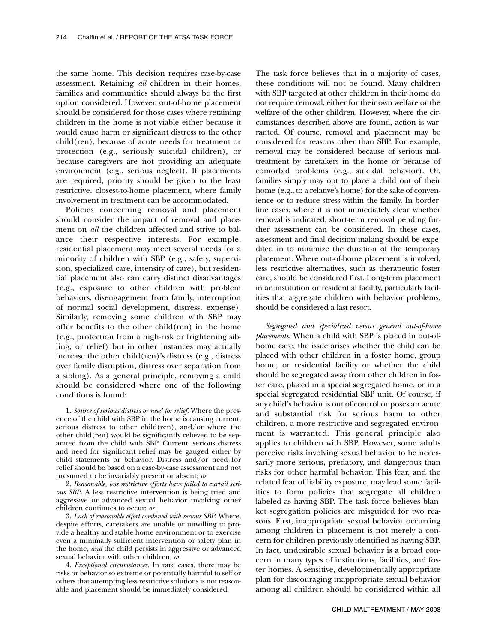the same home. This decision requires case-by-case assessment. Retaining *all* children in their homes, families and communities should always be the first option considered. However, out-of-home placement should be considered for those cases where retaining children in the home is not viable either because it would cause harm or significant distress to the other child(ren), because of acute needs for treatment or protection (e.g., seriously suicidal children), or because caregivers are not providing an adequate environment (e.g., serious neglect). If placements are required, priority should be given to the least restrictive, closest-to-home placement, where family involvement in treatment can be accommodated.

Policies concerning removal and placement should consider the impact of removal and placement on *all* the children affected and strive to balance their respective interests. For example, residential placement may meet several needs for a minority of children with SBP (e.g., safety, supervision, specialized care, intensity of care), but residential placement also can carry distinct disadvantages (e.g., exposure to other children with problem behaviors, disengagement from family, interruption of normal social development, distress, expense). Similarly, removing some children with SBP may offer benefits to the other child(ren) in the home (e.g., protection from a high-risk or frightening sibling, or relief) but in other instances may actually increase the other child(ren)'s distress (e.g., distress over family disruption, distress over separation from a sibling). As a general principle, removing a child should be considered where one of the following conditions is found:

1. *Source of serious distress or need for relief.* Where the presence of the child with SBP in the home is causing current, serious distress to other child(ren), and/or where the other child(ren) would be significantly relieved to be separated from the child with SBP. Current, serious distress and need for significant relief may be gauged either by child statements or behavior. Distress and/or need for relief should be based on a case-by-case assessment and not presumed to be invariably present or absent; *or*

2. *Reasonable, less restrictive efforts have failed to curtail serious SBP*. A less restrictive intervention is being tried and aggressive or advanced sexual behavior involving other children continues to occur; *or*

3. *Lack of reasonable effort combined with serious SBP*. Where, despite efforts, caretakers are unable or unwilling to provide a healthy and stable home environment or to exercise even a minimally sufficient intervention or safety plan in the home, *and* the child persists in aggressive or advanced sexual behavior with other children; *or*

4. *Exceptional circumstances*. In rare cases, there may be risks or behavior so extreme or potentially harmful to self or others that attempting less restrictive solutions is not reasonable and placement should be immediately considered.

The task force believes that in a majority of cases, these conditions will not be found. Many children with SBP targeted at other children in their home do not require removal, either for their own welfare or the welfare of the other children. However, where the circumstances described above are found, action is warranted. Of course, removal and placement may be considered for reasons other than SBP. For example, removal may be considered because of serious maltreatment by caretakers in the home or because of comorbid problems (e.g., suicidal behavior). Or, families simply may opt to place a child out of their home (e.g., to a relative's home) for the sake of convenience or to reduce stress within the family. In borderline cases, where it is not immediately clear whether removal is indicated, short-term removal pending further assessment can be considered. In these cases, assessment and final decision making should be expedited in to minimize the duration of the temporary placement. Where out-of-home placement is involved, less restrictive alternatives, such as therapeutic foster care, should be considered first. Long-term placement in an institution or residential facility, particularly facilities that aggregate children with behavior problems, should be considered a last resort.

*Segregated and specialized versus general out-of-home placements*. When a child with SBP is placed in out-ofhome care, the issue arises whether the child can be placed with other children in a foster home, group home, or residential facility or whether the child should be segregated away from other children in foster care, placed in a special segregated home, or in a special segregated residential SBP unit. Of course, if any child's behavior is out of control or poses an acute and substantial risk for serious harm to other children, a more restrictive and segregated environment is warranted. This general principle also applies to children with SBP. However, some adults perceive risks involving sexual behavior to be necessarily more serious, predatory, and dangerous than risks for other harmful behavior. This fear, and the related fear of liability exposure, may lead some facilities to form policies that segregate all children labeled as having SBP. The task force believes blanket segregation policies are misguided for two reasons. First, inappropriate sexual behavior occurring among children in placement is not merely a concern for children previously identified as having SBP. In fact, undesirable sexual behavior is a broad concern in many types of institutions, facilities, and foster homes. A sensitive, developmentally appropriate plan for discouraging inappropriate sexual behavior among all children should be considered within all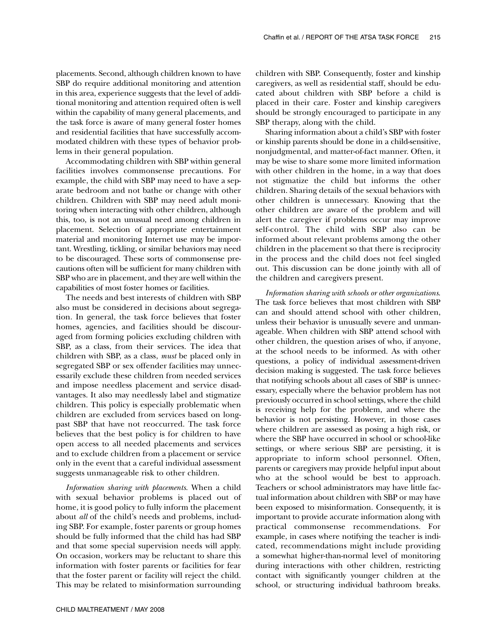placements. Second, although children known to have SBP do require additional monitoring and attention in this area, experience suggests that the level of additional monitoring and attention required often is well within the capability of many general placements, and the task force is aware of many general foster homes and residential facilities that have successfully accommodated children with these types of behavior problems in their general population.

Accommodating children with SBP within general facilities involves commonsense precautions. For example, the child with SBP may need to have a separate bedroom and not bathe or change with other children. Children with SBP may need adult monitoring when interacting with other children, although this, too, is not an unusual need among children in placement. Selection of appropriate entertainment material and monitoring Internet use may be important. Wrestling, tickling, or similar behaviors may need to be discouraged. These sorts of commonsense precautions often will be sufficient for many children with SBP who are in placement, and they are well within the capabilities of most foster homes or facilities.

The needs and best interests of children with SBP also must be considered in decisions about segregation. In general, the task force believes that foster homes, agencies, and facilities should be discouraged from forming policies excluding children with SBP, as a class, from their services. The idea that children with SBP, as a class, *must* be placed only in segregated SBP or sex offender facilities may unnecessarily exclude these children from needed services and impose needless placement and service disadvantages. It also may needlessly label and stigmatize children. This policy is especially problematic when children are excluded from services based on longpast SBP that have not reoccurred. The task force believes that the best policy is for children to have open access to all needed placements and services and to exclude children from a placement or service only in the event that a careful individual assessment suggests unmanageable risk to other children.

*Information sharing with placements*. When a child with sexual behavior problems is placed out of home, it is good policy to fully inform the placement about *all* of the child's needs and problems, including SBP. For example, foster parents or group homes should be fully informed that the child has had SBP and that some special supervision needs will apply. On occasion, workers may be reluctant to share this information with foster parents or facilities for fear that the foster parent or facility will reject the child. This may be related to misinformation surrounding children with SBP. Consequently, foster and kinship caregivers, as well as residential staff, should be educated about children with SBP before a child is placed in their care. Foster and kinship caregivers should be strongly encouraged to participate in any SBP therapy, along with the child.

Sharing information about a child's SBP with foster or kinship parents should be done in a child-sensitive, nonjudgmental, and matter-of-fact manner. Often, it may be wise to share some more limited information with other children in the home, in a way that does not stigmatize the child but informs the other children. Sharing details of the sexual behaviors with other children is unnecessary. Knowing that the other children are aware of the problem and will alert the caregiver if problems occur may improve self-control. The child with SBP also can be informed about relevant problems among the other children in the placement so that there is reciprocity in the process and the child does not feel singled out. This discussion can be done jointly with all of the children and caregivers present.

*Information sharing with schools or other organizations*. The task force believes that most children with SBP can and should attend school with other children, unless their behavior is unusually severe and unmanageable. When children with SBP attend school with other children, the question arises of who, if anyone, at the school needs to be informed. As with other questions, a policy of individual assessment-driven decision making is suggested. The task force believes that notifying schools about all cases of SBP is unnecessary, especially where the behavior problem has not previously occurred in school settings, where the child is receiving help for the problem, and where the behavior is not persisting. However, in those cases where children are assessed as posing a high risk, or where the SBP have occurred in school or school-like settings, or where serious SBP are persisting, it is appropriate to inform school personnel. Often, parents or caregivers may provide helpful input about who at the school would be best to approach. Teachers or school administrators may have little factual information about children with SBP or may have been exposed to misinformation. Consequently, it is important to provide accurate information along with practical commonsense recommendations. For example, in cases where notifying the teacher is indicated, recommendations might include providing a somewhat higher-than-normal level of monitoring during interactions with other children, restricting contact with significantly younger children at the school, or structuring individual bathroom breaks.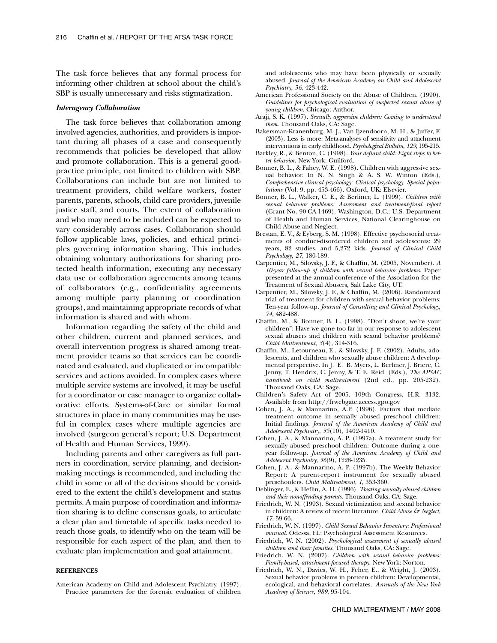The task force believes that any formal process for informing other children at school about the child's SBP is usually unnecessary and risks stigmatization.

#### *Interagency Collaboration*

The task force believes that collaboration among involved agencies, authorities, and providers is important during all phases of a case and consequently recommends that policies be developed that allow and promote collaboration. This is a general goodpractice principle, not limited to children with SBP. Collaborations can include but are not limited to treatment providers, child welfare workers, foster parents, parents, schools, child care providers, juvenile justice staff, and courts. The extent of collaboration and who may need to be included can be expected to vary considerably across cases. Collaboration should follow applicable laws, policies, and ethical principles governing information sharing. This includes obtaining voluntary authorizations for sharing protected health information, executing any necessary data use or collaboration agreements among teams of collaborators (e.g., confidentiality agreements among multiple party planning or coordination groups), and maintaining appropriate records of what information is shared and with whom.

Information regarding the safety of the child and other children, current and planned services, and overall intervention progress is shared among treatment provider teams so that services can be coordinated and evaluated, and duplicated or incompatible services and actions avoided. In complex cases where multiple service systems are involved, it may be useful for a coordinator or case manager to organize collaborative efforts. Systems-of-Care or similar formal structures in place in many communities may be useful in complex cases where multiple agencies are involved (surgeon general's report; U.S. Department of Health and Human Services, 1999).

Including parents and other caregivers as full partners in coordination, service planning, and decisionmaking meetings is recommended, and including the child in some or all of the decisions should be considered to the extent the child's development and status permits. A main purpose of coordination and information sharing is to define consensus goals, to articulate a clear plan and timetable of specific tasks needed to reach those goals, to identify who on the team will be responsible for each aspect of the plan, and then to evaluate plan implementation and goal attainment.

#### **REFERENCES**

American Academy on Child and Adolescent Psychiatry. (1997). Practice parameters for the forensic evaluation of children and adolescents who may have been physically or sexually abused. *Journal of the American Academy on Child and Adolescent Psychiatry*, *36*, 423-442.

- American Professional Society on the Abuse of Children. (1990). *Guidelines for psychological evaluation of suspected sexual abuse of young children*. Chicago: Author.
- Araji, S. K. (1997). *Sexually aggressive children: Coming to understand them*. Thousand Oaks, CA: Sage.
- Bakersman-Kranenburg, M. J., Van Ijzendoorn, M. H., & Juffer, F. (2003). Less is more: Meta-analyses of sensitivity and attachment interventions in early childhood. *Psychological Bulletin*, *129*, 195-215.
- Barkley, R., & Benton, C. (1998). *Your defiant child: Eight steps to better behavior*. New York: Guilford.
- Bonner, B. L., & Fahey, W. E. (1998). Children with aggressive sexual behavior. In N. N. Singh & A. S. W. Winton (Eds*.*), *Comprehensive clinical psychology: Clinical psychology. Special populations* (Vol. 9, pp. 453-466). Oxford, UK: Elsevier.
- Bonner, B. L., Walker, C. E., & Berliner, L. (1999). *Children with sexual behavior problems: Assessment and treatment-final report* (Grant No. 90-CA-1469). Washington, D.C.: U.S. Department of Health and Human Services, National Clearinghouse on Child Abuse and Neglect.
- Brestan, E. V., & Eyberg, S. M. (1998). Effective psychosocial treatments of conduct-disordered children and adolescents: 29 years, 82 studies, and 5,272 kids. *Journal of Clinical Child Psychology*, *27*, 180-189.
- Carpentier, M., Silovsky, J. F., & Chaffin, M. (2005, November). *A 10-year follow-up of children with sexual behavior problems*. Paper presented at the annual conference of the Association for the Treatment of Sexual Abusers, Salt Lake City, UT.
- Carpentier, M., Silovsky, J. F., & Chaffin, M. (2006). Randomized trial of treatment for children with sexual behavior problems: Ten-year follow-up. *Journal of Consulting and Clinical Psychology, 74*, 482-488.
- Chaffin, M., & Bonner, B. L. (1998). "Don't shoot, we're your children": Have we gone too far in our response to adolescent sexual abusers and children with sexual behavior problems? *Child Maltreatment*, *3*(4), 314-316.
- Chaffin, M., Letourneau, E., & Silovsky, J. F. (2002). Adults, adolescents, and children who sexually abuse children: A developmental perspective. In J. E. B. Myers, L. Berliner, J. Briere, C. Jenny, T. Hendrix, C. Jenny, & T. E. Reid. (Eds.), *The APSAC handbook on child maltreatment* (2nd ed., pp. 205-232). Thousand Oaks, CA: Sage.
- Children's Safety Act of 2005. 109th Congress, H.R. 3132. Available from http://frwebgate.access.gpo.gov
- Cohen, J. A., & Mannarino, A.P. (1996). Factors that mediate treatment outcome in sexually abused preschool children: Initial findings. *Journal of the American Academy of Child and Adolescent Psychiatry*, *35*(10), 1402-1410.
- Cohen, J. A., & Mannarino, A. P. (1997a). A treatment study for sexually abused preschool children: Outcome during a oneyear follow-up. *Journal of the American Academy of Child and Adolescent Psychiatry*, *36*(9), 1228-1235.
- Cohen, J. A., & Mannarino, A. P. (1997b). The Weekly Behavior Report: A parent-report instrument for sexually abused preschoolers. *Child Maltreatment*, *1*, 353-360.
- Deblinger, E., & Heflin, A. H. (1996). *Treating sexually abused children and their nonoffending parents*. Thousand Oaks, CA: Sage.
- Friedrich, W. N. (1993). Sexual victimization and sexual behavior in children: A review of recent literature. *Child Abuse & Neglect*, *17*, 59-66.
- Friedrich, W. N. (1997). *Child Sexual Behavior Inventory: Professional manual*. Odessa, FL: Psychological Assessment Resources.
- Friedrich, W. N. (2002). *Psychological assessment of sexually abused children and their families*. Thousand Oaks, CA: Sage.
- Friedrich, W. N. (2007). *Children with sexual behavior problems: Family-based, attachment-focused therapy*. New York: Norton.
- Friedrich, W. N., Davies, W. H., Feher, E., & Wright, J. (2003). Sexual behavior problems in preteen children: Developmental, ecological, and behavioral correlates. *Annuals of the New York Academy of Science*, *989*, 95-104.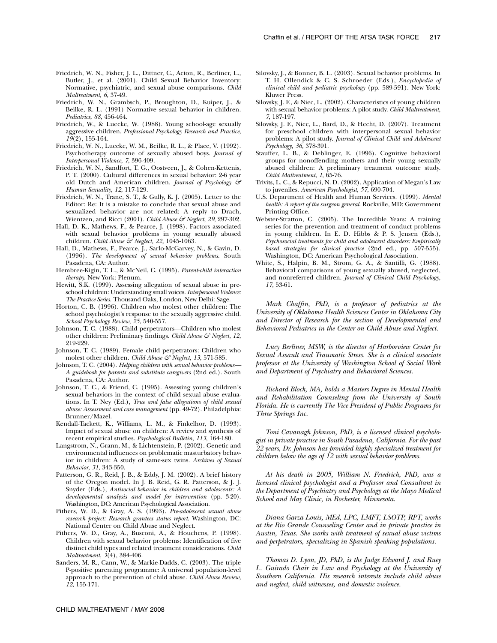- Friedrich, W. N., Fisher, J. L., Dittner, C., Acton, R., Berliner, L., Butler, J., et al. (2001). Child Sexual Behavior Inventory: Normative, psychiatric, and sexual abuse comparisons. *Child Maltreatment*, *6*, 37-49.
- Friedrich, W. N., Grambsch, P., Broughton, D., Kuiper, J., & Beilke, R. L. (1991) Normative sexual behavior in children. *Pediatrics*, *88*, 456-464.
- Friedrich, W., & Luecke, W. (1988). Young school-age sexually aggressive children. *Professional Psychology Research and Practice*, *19*(2), 155-164.
- Friedrich, W. N., Luecke, W. M., Beilke, R. L., & Place, V. (1992). Psychotherapy outcome of sexually abused boys. *Journal of Interpersonal Violence*, *7*, 396-409.
- Friedrich, W. N., Sandfort, T. G., Oostveen, J., & Cohen-Kettenis, P. T. (2000). Cultural differences in sexual behavior: 2-6 year old Dutch and American children. *Journal of Psychology & Human Sexuality*, *12*, 117-129.
- Friedrich, W. N., Trane, S. T., & Gully, K. J. (2005). Letter to the Editor: Re: It is a mistake to conclude that sexual abuse and sexualized behavior are not related: A reply to Drach, Wientzen, and Ricci (2001). *Child Abuse & Neglect*, *29*, 297-302.
- Hall, D. K., Mathews, F., & Pearce, J. (1998). Factors associated with sexual behavior problems in young sexually abused children. *Child Abuse & Neglect, 22,* 1045-1063.
- Hall, D., Mathews, F., Pearce, J., Sarlo-McGarvey, N., & Gavin, D. (1996). *The development of sexual behavior problems*. South Pasadena, CA: Author.
- Hembree-Kigin, T. L., & McNeil, C. (1995). *Parent-child interaction therapy*. New York: Plenum.
- Hewitt, S.K. (1999). Assessing allegation of sexual abuse in preschool children: Understanding small voices. *Interpersonal Violence: The Practice Series.* Thousand Oaks, London, New Delhi: Sage.
- Horton, C. B. (1996). Children who molest other children: The school psychologist's response to the sexually aggressive child. *School Psychology Review*, *25*, 540-557.
- Johnson, T. C. (1988). Child perpetrators—Children who molest other children: Preliminary findings. *Child Abuse & Neglect*, *12*, 219-229.
- Johnson, T. C. (1989). Female child perpetrators: Children who molest other children. *Child Abuse & Neglect*, *13*, 571-585.
- Johnson, T. C. (2004). *Helping children with sexual behavior problems— A guidebook for parents and substitute caregivers* (2nd ed.). South Pasadena, CA: Author.
- Johnson, T. C., & Friend, C. (1995). Assessing young children's sexual behaviors in the context of child sexual abuse evaluations. In T. Ney (Ed.), *True and false allegations of child sexual abuse: Assessment and case management* (pp. 49-72). Philadelphia: Brunner/Mazel.
- Kendall-Tackett, K., Williams, L. M., & Finkelhor, D. (1993). Impact of sexual abuse on children: A review and synthesis of recent empirical studies. *Psychological Bulletin*, *113*, 164-180.
- Langstrom, N., Grann, M., & Lichtenstein, P. (2002). Genetic and environmental influences on problematic masturbatory behavior in children: A study of same-sex twins. *Archives of Sexual Behavior*, *31*, 343-350.
- Patterson, G. R., Reid, J. B., & Eddy, J. M. (2002). A brief history of the Oregon model. In J. B. Reid, G. R. Patterson, & J. J. Snyder (Eds.), *Antisocial behavior in children and adolescents: A developmental analysis and model for intervention* (pp. 3-20). Washington, DC: American Psychological Association.
- Pithers, W. D., & Gray, A. S. (1993). *Pre-adolescent sexual abuse research project: Research grantees status report*. Washington, DC: National Center on Child Abuse and Neglect.
- Pithers, W. D., Gray, A., Busconi, A., & Houchens, P. (1998). Children with sexual behavior problems: Identification of five distinct child types and related treatment considerations. *Child Maltreatment*, *3*(4), 384-406.
- Sanders, M. R., Cann, W., & Markie-Dadds, C. (2003). The triple P-positive parenting programme: A universal population-level approach to the prevention of child abuse. *Child Abuse Review*, *12*, 155-171.
- Silovsky, J., & Bonner, B. L. (2003). Sexual behavior problems. In T. H. Ollendick & C. S. Schroeder (Eds.), *Encyclopedia of clinical child and pediatric psychology* (pp. 589-591). New York: Kluwer Press.
- Silovsky, J. F., & Niec, L. (2002). Characteristics of young children with sexual behavior problems: A pilot study. *Child Maltreatment*, *7*, 187-197.
- Silovsky, J. F., Niec, L., Bard, D., & Hecht, D. (2007). Treatment for preschool children with interpersonal sexual behavior problems: A pilot study. *Journal of Clinical Child and Adolescent Psychology*, *36*, 378-391.
- Stauffer, L. B., & Deblinger, E. (1996). Cognitive behavioral groups for nonoffending mothers and their young sexually abused children: A preliminary treatment outcome study. *Child Maltreatment*, *1*, 65-76.
- Trivits, L. C., & Repucci, N. D. (2002). Application of Megan's Law to juveniles. *American Psychologist*, *57*, 690-704.
- U.S. Department of Health and Human Services. (1999). *Mental health: A report of the surgeon general*. Rockville, MD: Government Printing Office.
- Webster-Stratton, C. (2005). The Incredible Years: A training series for the prevention and treatment of conduct problems in young children. In E. D. Hibbs & P. S. Jensen (Eds.), *Psychosocial treatments for child and adolescent disorders: Empirically based strategies for clinical practice* (2nd ed., pp. 507-555). Washington, DC: American Psychological Association.
- White, S., Halpin, B. M., Strom, G. A., & Santilli, G. (1988). Behavioral comparisons of young sexually abused, neglected, and nonreferred children. *Journal of Clinical Child Psychology*, *17*, 53-61.

*Mark Chaffin, PhD, is a professor of pediatrics at the University of Oklahoma Health Sciences Center in Oklahoma City and Director of Research for the section of Developmental and Behavioral Pediatrics in the Center on Child Abuse and Neglect.*

*Lucy Berliner, MSW, is the director of Harborview Center for Sexual Assault and Traumatic Stress. She is a clinical associate professor at the University of Washington School of Social Work and Department of Psychiatry and Behavioral Sciences.*

*Richard Block, MA, holds a Masters Degree in Mental Health and Rehabilitation Counseling from the University of South Florida. He is currently The Vice President of Public Programs for Three Springs Inc.* 

*Toni Cavanagh Johnson, PhD, is a licensed clinical psychologist in private practice in South Pasadena, California. For the past 22 years, Dr. Johnson has provided highly specialized treatment for children below the age of 12 with sexual behavior problems.*

*At his death in 2005, William N. Friedrich, PhD, was a licensed clinical psychologist and a Professor and Consultant in the Department of Psychiatry and Psychology at the Mayo Medical School and May Clinic, in Rochester, Minnesota.*

*Diana Garza Louis, MEd, LPC, LMFT, LSOTP, RPT, works at the Rio Grande Counseling Center and in private practice in Austin, Texas. She works with treatment of sexual abuse victims and perpetrators, specializing in Spanish speaking populations.*

*Thomas D. Lyon, JD, PhD, is the Judge Edward J. and Ruey L. Guirado Chair in Law and Psychology at the University of Southern California. His research interests include child abuse and neglect, child witnesses, and domestic violence.*